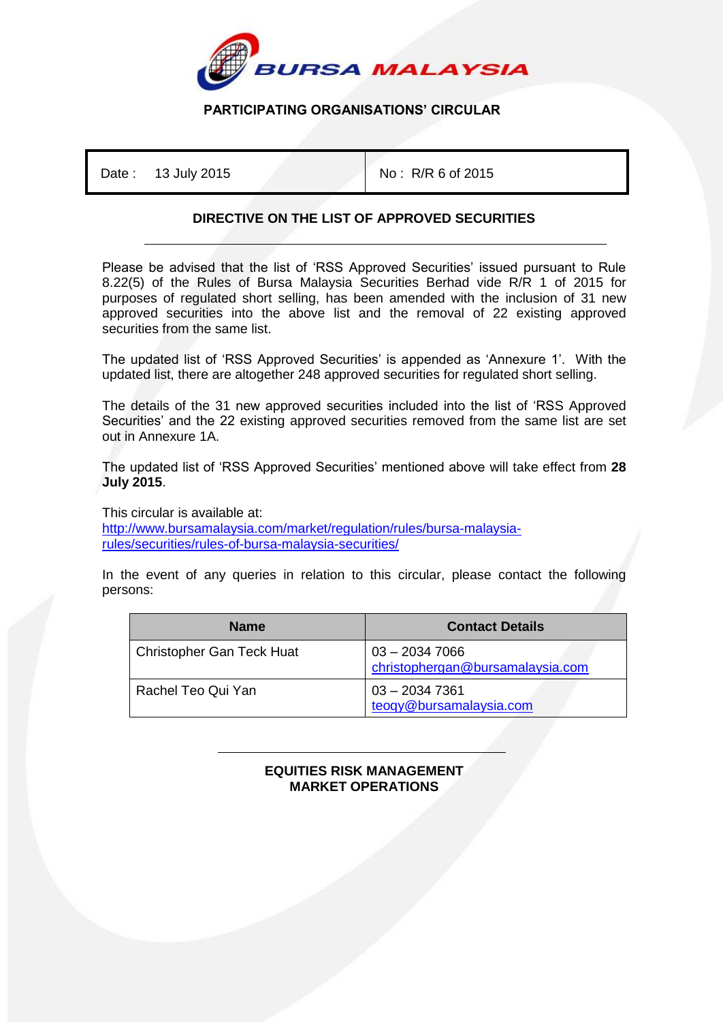

## **PARTICIPATING ORGANISATIONS' CIRCULAR**

Date : 13 July 2015 **No : R/R 6 of 2015** 

## **DIRECTIVE ON THE LIST OF APPROVED SECURITIES**

Please be advised that the list of 'RSS Approved Securities' issued pursuant to Rule 8.22(5) of the Rules of Bursa Malaysia Securities Berhad vide R/R 1 of 2015 for purposes of regulated short selling, has been amended with the inclusion of 31 new approved securities into the above list and the removal of 22 existing approved securities from the same list.

The updated list of 'RSS Approved Securities' is appended as 'Annexure 1'. With the updated list, there are altogether 248 approved securities for regulated short selling.

The details of the 31 new approved securities included into the list of 'RSS Approved Securities' and the 22 existing approved securities removed from the same list are set out in Annexure 1A.

The updated list of 'RSS Approved Securities' mentioned above will take effect from **28 July 2015**.

This circular is available at:

[http://www.bursamalaysia.com/market/regulation/rules/bursa-malaysia](http://www.bursamalaysia.com/market/regulation/rules/bursa-malaysia-rules/securities/rules-of-bursa-malaysia-securities/)[rules/securities/rules-of-bursa-malaysia-securities/](http://www.bursamalaysia.com/market/regulation/rules/bursa-malaysia-rules/securities/rules-of-bursa-malaysia-securities/)

In the event of any queries in relation to this circular, please contact the following persons:

| <b>Name</b>                      | <b>Contact Details</b>                              |
|----------------------------------|-----------------------------------------------------|
| <b>Christopher Gan Teck Huat</b> | $03 - 20347066$<br>christophergan@bursamalaysia.com |
| Rachel Teo Qui Yan               | $03 - 20347361$<br>teogy@bursamalaysia.com          |

| <b>EQUITIES RISK MANAGEMENT</b> |
|---------------------------------|
| <b>MARKET OPERATIONS</b>        |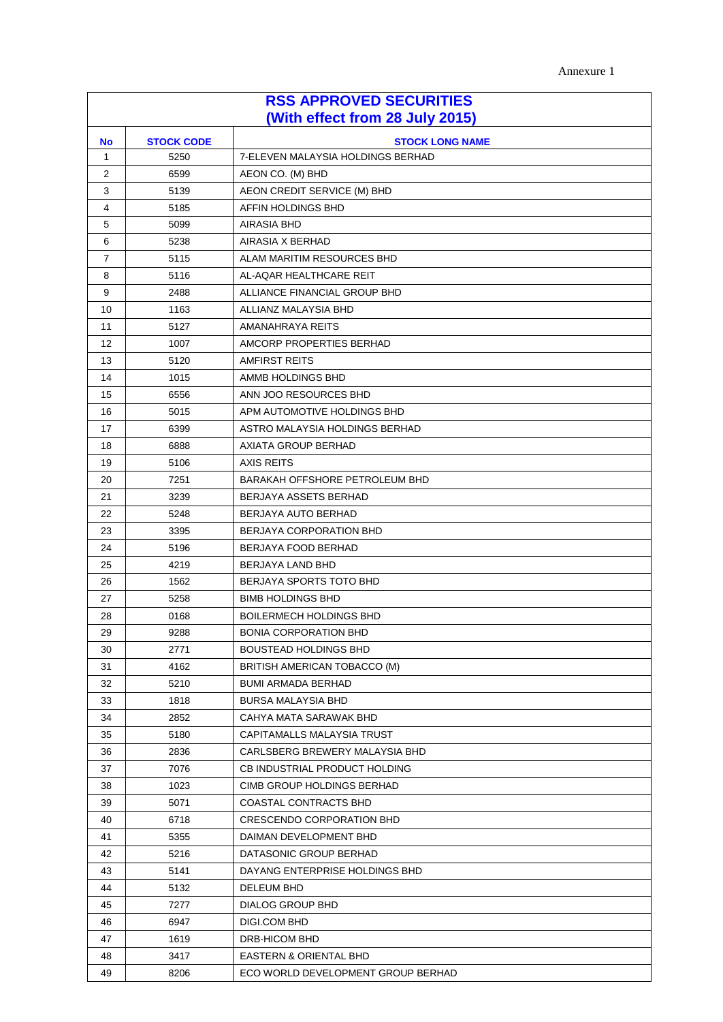Annexure 1

| <b>RSS APPROVED SECURITIES</b><br>(With effect from 28 July 2015) |                                             |                                    |  |  |  |
|-------------------------------------------------------------------|---------------------------------------------|------------------------------------|--|--|--|
| <b>No</b>                                                         | <b>STOCK CODE</b><br><b>STOCK LONG NAME</b> |                                    |  |  |  |
| $\mathbf{1}$                                                      | 5250                                        | 7-ELEVEN MALAYSIA HOLDINGS BERHAD  |  |  |  |
| 2                                                                 | 6599                                        | AEON CO. (M) BHD                   |  |  |  |
| 3                                                                 | 5139                                        | AEON CREDIT SERVICE (M) BHD        |  |  |  |
| 4                                                                 | 5185                                        | AFFIN HOLDINGS BHD                 |  |  |  |
| 5                                                                 | 5099                                        | AIRASIA BHD                        |  |  |  |
| 6                                                                 | 5238                                        | AIRASIA X BERHAD                   |  |  |  |
| $\overline{7}$                                                    | 5115                                        | ALAM MARITIM RESOURCES BHD         |  |  |  |
| 8                                                                 | 5116                                        | AL-AQAR HEALTHCARE REIT            |  |  |  |
| 9                                                                 | 2488                                        | ALLIANCE FINANCIAL GROUP BHD       |  |  |  |
| 10                                                                | 1163                                        | ALLIANZ MALAYSIA BHD               |  |  |  |
| 11                                                                | 5127                                        | AMANAHRAYA REITS                   |  |  |  |
| 12                                                                | 1007                                        | AMCORP PROPERTIES BERHAD           |  |  |  |
| 13                                                                | 5120                                        | <b>AMFIRST REITS</b>               |  |  |  |
| 14                                                                | 1015                                        | AMMB HOLDINGS BHD                  |  |  |  |
| 15                                                                | 6556                                        | ANN JOO RESOURCES BHD              |  |  |  |
| 16                                                                | 5015                                        | APM AUTOMOTIVE HOLDINGS BHD        |  |  |  |
| 17                                                                | 6399                                        | ASTRO MALAYSIA HOLDINGS BERHAD     |  |  |  |
| 18                                                                | 6888                                        | AXIATA GROUP BERHAD                |  |  |  |
| 19                                                                | 5106                                        | <b>AXIS REITS</b>                  |  |  |  |
| 20                                                                | 7251                                        | BARAKAH OFFSHORE PETROLEUM BHD     |  |  |  |
| 21                                                                | 3239                                        | BERJAYA ASSETS BERHAD              |  |  |  |
| 22                                                                | 5248                                        | BERJAYA AUTO BERHAD                |  |  |  |
| 23                                                                | 3395                                        | <b>BERJAYA CORPORATION BHD</b>     |  |  |  |
| 24                                                                | 5196                                        | BERJAYA FOOD BERHAD                |  |  |  |
| 25                                                                | 4219                                        | BERJAYA LAND BHD                   |  |  |  |
| 26                                                                | 1562                                        | BERJAYA SPORTS TOTO BHD            |  |  |  |
| 27                                                                | 5258                                        | <b>BIMB HOLDINGS BHD</b>           |  |  |  |
| 28                                                                | 0168                                        | <b>BOILERMECH HOLDINGS BHD</b>     |  |  |  |
| 29                                                                | 9288                                        | <b>BONIA CORPORATION BHD</b>       |  |  |  |
| 30                                                                | 2771                                        | BOUSTEAD HOLDINGS BHD              |  |  |  |
| 31                                                                | 4162                                        | BRITISH AMERICAN TOBACCO (M)       |  |  |  |
| 32                                                                | 5210                                        | <b>BUMI ARMADA BERHAD</b>          |  |  |  |
| 33                                                                | 1818                                        | <b>BURSA MALAYSIA BHD</b>          |  |  |  |
| 34                                                                | 2852                                        | CAHYA MATA SARAWAK BHD             |  |  |  |
| 35                                                                | 5180                                        | CAPITAMALLS MALAYSIA TRUST         |  |  |  |
| 36                                                                | 2836                                        | CARLSBERG BREWERY MALAYSIA BHD     |  |  |  |
| 37                                                                | 7076                                        | CB INDUSTRIAL PRODUCT HOLDING      |  |  |  |
| 38                                                                | 1023                                        | CIMB GROUP HOLDINGS BERHAD         |  |  |  |
| 39                                                                | 5071                                        | COASTAL CONTRACTS BHD              |  |  |  |
| 40                                                                | 6718                                        | <b>CRESCENDO CORPORATION BHD</b>   |  |  |  |
| 41                                                                | 5355                                        | DAIMAN DEVELOPMENT BHD             |  |  |  |
| 42                                                                | 5216                                        | DATASONIC GROUP BERHAD             |  |  |  |
| 43                                                                | 5141                                        | DAYANG ENTERPRISE HOLDINGS BHD     |  |  |  |
| 44                                                                | 5132                                        | DELEUM BHD                         |  |  |  |
| 45                                                                | 7277                                        | DIALOG GROUP BHD                   |  |  |  |
| 46                                                                | 6947                                        | DIGI.COM BHD                       |  |  |  |
| 47                                                                | 1619                                        | DRB-HICOM BHD                      |  |  |  |
| 48                                                                | 3417                                        | EASTERN & ORIENTAL BHD             |  |  |  |
| 49                                                                | 8206                                        | ECO WORLD DEVELOPMENT GROUP BERHAD |  |  |  |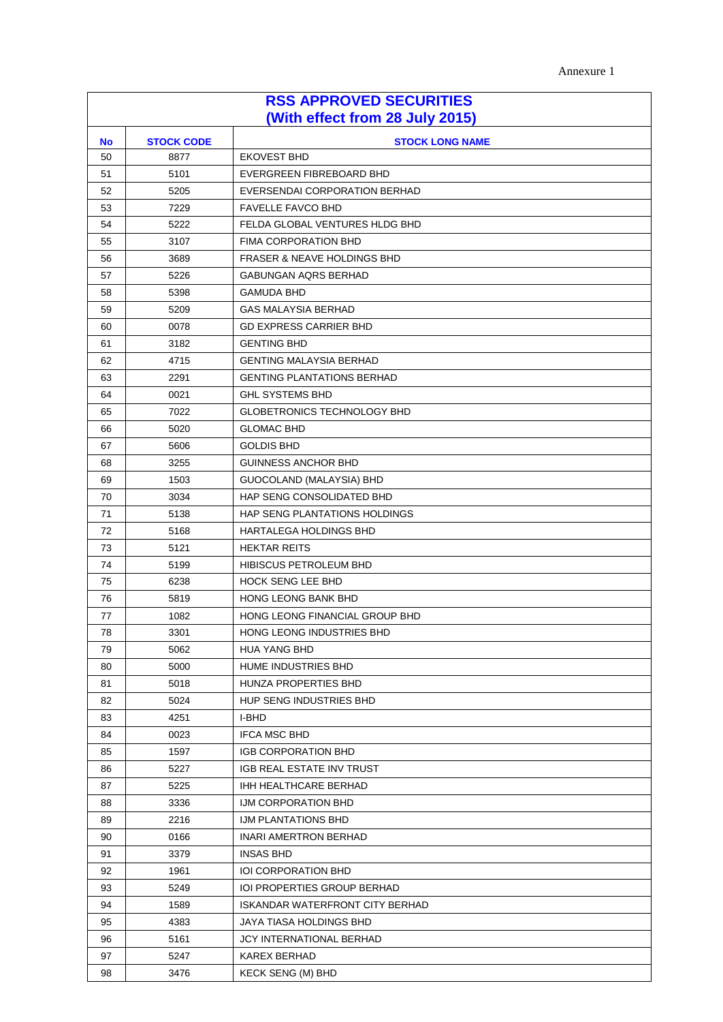Annexure 1

| <b>RSS APPROVED SECURITIES</b><br>(With effect from 28 July 2015) |                   |                                        |
|-------------------------------------------------------------------|-------------------|----------------------------------------|
| <b>No</b>                                                         | <b>STOCK CODE</b> | <b>STOCK LONG NAME</b>                 |
| 50                                                                | 8877              | <b>EKOVEST BHD</b>                     |
| 51                                                                | 5101              | EVERGREEN FIBREBOARD BHD               |
| 52                                                                | 5205              | EVERSENDAI CORPORATION BERHAD          |
| 53                                                                | 7229              | <b>FAVELLE FAVCO BHD</b>               |
| 54                                                                | 5222              | FELDA GLOBAL VENTURES HLDG BHD         |
| 55                                                                | 3107              | FIMA CORPORATION BHD                   |
| 56                                                                | 3689              | <b>FRASER &amp; NEAVE HOLDINGS BHD</b> |
| 57                                                                | 5226              | <b>GABUNGAN AQRS BERHAD</b>            |
| 58                                                                | 5398              | <b>GAMUDA BHD</b>                      |
| 59                                                                | 5209              | <b>GAS MALAYSIA BERHAD</b>             |
| 60                                                                | 0078              | <b>GD EXPRESS CARRIER BHD</b>          |
| 61                                                                | 3182              | <b>GENTING BHD</b>                     |
| 62                                                                | 4715              | <b>GENTING MALAYSIA BERHAD</b>         |
| 63                                                                | 2291              | <b>GENTING PLANTATIONS BERHAD</b>      |
| 64                                                                | 0021              | <b>GHL SYSTEMS BHD</b>                 |
| 65                                                                | 7022              | <b>GLOBETRONICS TECHNOLOGY BHD</b>     |
| 66                                                                | 5020              | <b>GLOMAC BHD</b>                      |
| 67                                                                | 5606              | <b>GOLDIS BHD</b>                      |
| 68                                                                | 3255              | <b>GUINNESS ANCHOR BHD</b>             |
| 69                                                                | 1503              | GUOCOLAND (MALAYSIA) BHD               |
| 70                                                                | 3034              | HAP SENG CONSOLIDATED BHD              |
| 71                                                                | 5138              | HAP SENG PLANTATIONS HOLDINGS          |
| 72                                                                | 5168              | <b>HARTALEGA HOLDINGS BHD</b>          |
| 73                                                                | 5121              | <b>HEKTAR REITS</b>                    |
| 74                                                                | 5199              | HIBISCUS PETROLEUM BHD                 |
| 75                                                                | 6238              | <b>HOCK SENG LEE BHD</b>               |
| 76                                                                | 5819              | <b>HONG LEONG BANK BHD</b>             |
| 77                                                                | 1082              | HONG LEONG FINANCIAL GROUP BHD         |
| 78                                                                | 3301              | HONG LEONG INDUSTRIES BHD              |
| 79                                                                | 5062              | <b>HUA YANG BHD</b>                    |
| 80                                                                | 5000              | HUME INDUSTRIES BHD                    |
| 81                                                                | 5018              | HUNZA PROPERTIES BHD                   |
| 82                                                                | 5024              | <b>HUP SENG INDUSTRIES BHD</b>         |
| 83                                                                | 4251              | I-BHD                                  |
| 84                                                                | 0023              | <b>IFCA MSC BHD</b>                    |
| 85                                                                | 1597              | <b>IGB CORPORATION BHD</b>             |
| 86                                                                | 5227              | IGB REAL ESTATE INV TRUST              |
| 87                                                                | 5225              | <b>IHH HEALTHCARE BERHAD</b>           |
| 88                                                                | 3336              | IJM CORPORATION BHD                    |
| 89                                                                | 2216              | IJM PLANTATIONS BHD                    |
| 90                                                                | 0166              | <b>INARI AMERTRON BERHAD</b>           |
| 91                                                                | 3379              | <b>INSAS BHD</b>                       |
| 92                                                                | 1961              | <b>IOI CORPORATION BHD</b>             |
| 93                                                                | 5249              | IOI PROPERTIES GROUP BERHAD            |
| 94                                                                | 1589              | ISKANDAR WATERFRONT CITY BERHAD        |
| 95                                                                | 4383              | JAYA TIASA HOLDINGS BHD                |
| 96                                                                | 5161              | <b>JCY INTERNATIONAL BERHAD</b>        |
| 97                                                                | 5247              | <b>KAREX BERHAD</b>                    |
| 98                                                                | 3476              | <b>KECK SENG (M) BHD</b>               |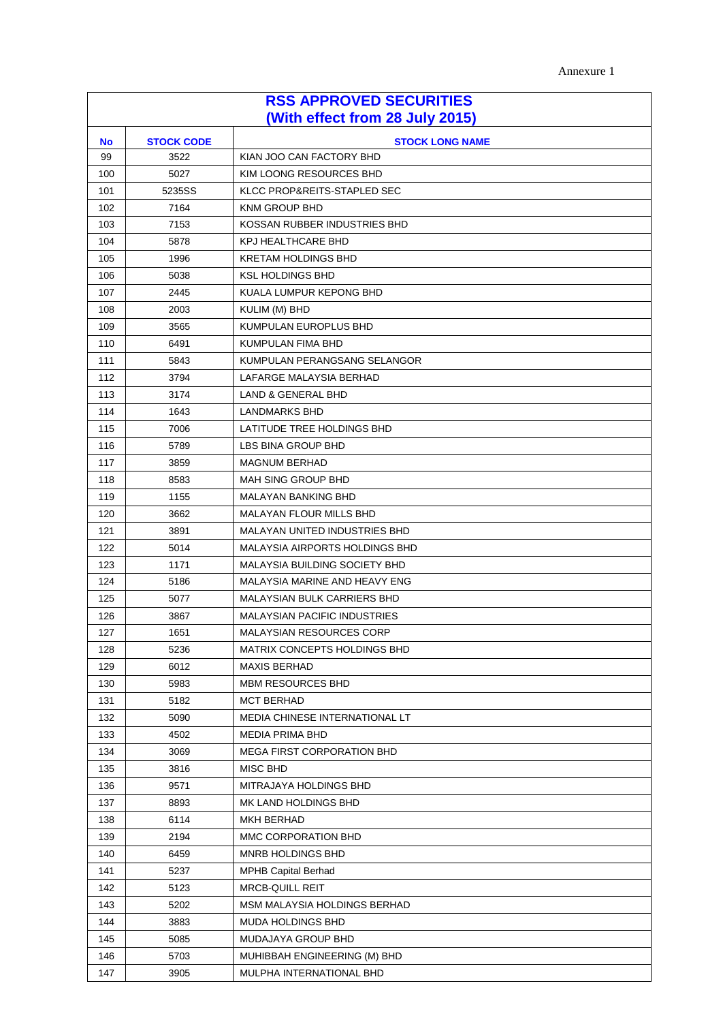| Annexure 1 |
|------------|
|------------|

| <b>RSS APPROVED SECURITIES</b><br>(With effect from 28 July 2015) |        |                                     |  |  |
|-------------------------------------------------------------------|--------|-------------------------------------|--|--|
| <b>STOCK CODE</b><br><b>STOCK LONG NAME</b><br><b>No</b>          |        |                                     |  |  |
| 99                                                                | 3522   | KIAN JOO CAN FACTORY BHD            |  |  |
| 100                                                               | 5027   | KIM LOONG RESOURCES BHD             |  |  |
| 101                                                               | 5235SS | KLCC PROP&REITS-STAPLED SEC         |  |  |
| 102                                                               | 7164   | <b>KNM GROUP BHD</b>                |  |  |
| 103                                                               | 7153   | KOSSAN RUBBER INDUSTRIES BHD        |  |  |
| 104                                                               | 5878   | <b>KPJ HEALTHCARE BHD</b>           |  |  |
| 105                                                               | 1996   | <b>KRETAM HOLDINGS BHD</b>          |  |  |
| 106                                                               | 5038   | <b>KSL HOLDINGS BHD</b>             |  |  |
| 107                                                               | 2445   | KUALA LUMPUR KEPONG BHD             |  |  |
| 108                                                               | 2003   | KULIM (M) BHD                       |  |  |
| 109                                                               | 3565   | KUMPULAN EUROPLUS BHD               |  |  |
| 110                                                               | 6491   | KUMPULAN FIMA BHD                   |  |  |
| 111                                                               | 5843   | KUMPULAN PERANGSANG SELANGOR        |  |  |
| 112                                                               | 3794   | LAFARGE MALAYSIA BERHAD             |  |  |
| 113                                                               | 3174   | <b>LAND &amp; GENERAL BHD</b>       |  |  |
| 114                                                               | 1643   | <b>LANDMARKS BHD</b>                |  |  |
| 115                                                               | 7006   | LATITUDE TREE HOLDINGS BHD          |  |  |
| 116                                                               | 5789   | LBS BINA GROUP BHD                  |  |  |
| 117                                                               | 3859   | <b>MAGNUM BERHAD</b>                |  |  |
| 118                                                               | 8583   | MAH SING GROUP BHD                  |  |  |
| 119                                                               | 1155   | <b>MALAYAN BANKING BHD</b>          |  |  |
| 120                                                               | 3662   | MALAYAN FLOUR MILLS BHD             |  |  |
| 121                                                               | 3891   | MALAYAN UNITED INDUSTRIES BHD       |  |  |
| 122                                                               | 5014   | MALAYSIA AIRPORTS HOLDINGS BHD      |  |  |
| 123                                                               | 1171   | MALAYSIA BUILDING SOCIETY BHD       |  |  |
| 124                                                               | 5186   | MALAYSIA MARINE AND HEAVY ENG       |  |  |
| 125                                                               | 5077   | MALAYSIAN BULK CARRIERS BHD         |  |  |
| 126                                                               | 3867   | <b>MALAYSIAN PACIFIC INDUSTRIES</b> |  |  |
| 127                                                               | 1651   | <b>MALAYSIAN RESOURCES CORP</b>     |  |  |
| 128                                                               | 5236   | MATRIX CONCEPTS HOLDINGS BHD        |  |  |
| 129                                                               | 6012   | <b>MAXIS BERHAD</b>                 |  |  |
| 130                                                               | 5983   | <b>MBM RESOURCES BHD</b>            |  |  |
| 131                                                               | 5182   | <b>MCT BERHAD</b>                   |  |  |
| 132                                                               | 5090   | MEDIA CHINESE INTERNATIONAL LT      |  |  |
| 133                                                               | 4502   | <b>MEDIA PRIMA BHD</b>              |  |  |
| 134                                                               | 3069   | MEGA FIRST CORPORATION BHD          |  |  |
| 135                                                               | 3816   | MISC BHD                            |  |  |
| 136                                                               | 9571   | MITRAJAYA HOLDINGS BHD              |  |  |
| 137                                                               | 8893   | MK LAND HOLDINGS BHD                |  |  |
| 138                                                               | 6114   | <b>MKH BERHAD</b>                   |  |  |
| 139                                                               | 2194   | MMC CORPORATION BHD                 |  |  |
| 140                                                               | 6459   | MNRB HOLDINGS BHD                   |  |  |
| 141                                                               | 5237   | <b>MPHB Capital Berhad</b>          |  |  |
| 142                                                               | 5123   | <b>MRCB-QUILL REIT</b>              |  |  |
| 143                                                               | 5202   | MSM MALAYSIA HOLDINGS BERHAD        |  |  |
| 144                                                               | 3883   | MUDA HOLDINGS BHD                   |  |  |
| 145                                                               | 5085   | MUDAJAYA GROUP BHD                  |  |  |
| 146                                                               | 5703   | MUHIBBAH ENGINEERING (M) BHD        |  |  |
| 147                                                               | 3905   | MULPHA INTERNATIONAL BHD            |  |  |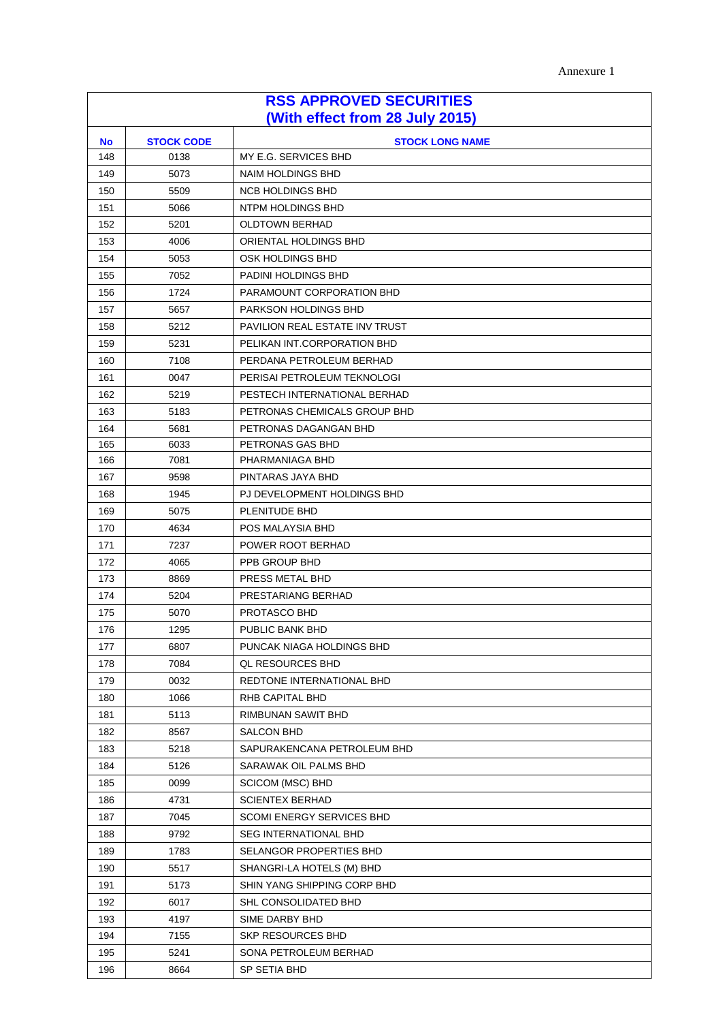| Annexure 1 |
|------------|
|------------|

| <b>RSS APPROVED SECURITIES</b><br>(With effect from 28 July 2015) |                                             |                                                         |  |  |  |
|-------------------------------------------------------------------|---------------------------------------------|---------------------------------------------------------|--|--|--|
| <b>No</b>                                                         | <b>STOCK CODE</b><br><b>STOCK LONG NAME</b> |                                                         |  |  |  |
| 148                                                               | 0138                                        | MY E.G. SERVICES BHD                                    |  |  |  |
| 149                                                               | 5073                                        | <b>NAIM HOLDINGS BHD</b>                                |  |  |  |
| 150                                                               | 5509                                        | <b>NCB HOLDINGS BHD</b>                                 |  |  |  |
| 151                                                               | 5066                                        | NTPM HOLDINGS BHD                                       |  |  |  |
| 152                                                               | 5201                                        | <b>OLDTOWN BERHAD</b>                                   |  |  |  |
| 153                                                               | 4006                                        | ORIENTAL HOLDINGS BHD                                   |  |  |  |
| 154                                                               | 5053                                        | OSK HOLDINGS BHD                                        |  |  |  |
| 155                                                               | 7052                                        | PADINI HOLDINGS BHD                                     |  |  |  |
| 156                                                               | 1724                                        | PARAMOUNT CORPORATION BHD                               |  |  |  |
| 157                                                               | 5657                                        | PARKSON HOLDINGS BHD                                    |  |  |  |
| 158                                                               | 5212                                        | <b>PAVILION REAL ESTATE INV TRUST</b>                   |  |  |  |
| 159                                                               | 5231                                        | PELIKAN INT.CORPORATION BHD                             |  |  |  |
| 160                                                               | 7108                                        | PERDANA PETROLEUM BERHAD                                |  |  |  |
| 161                                                               | 0047                                        | PERISAI PETROLEUM TEKNOLOGI                             |  |  |  |
| 162                                                               | 5219                                        | PESTECH INTERNATIONAL BERHAD                            |  |  |  |
| 163                                                               | 5183                                        | PETRONAS CHEMICALS GROUP BHD                            |  |  |  |
| 164                                                               | 5681                                        | PETRONAS DAGANGAN BHD                                   |  |  |  |
| 165                                                               | 6033                                        | PETRONAS GAS BHD                                        |  |  |  |
| 166                                                               | 7081                                        | PHARMANIAGA BHD                                         |  |  |  |
| 167                                                               | 9598                                        | PINTARAS JAYA BHD                                       |  |  |  |
| 168                                                               | 1945                                        | PJ DEVELOPMENT HOLDINGS BHD                             |  |  |  |
| 169                                                               | 5075                                        | PLENITUDE BHD                                           |  |  |  |
| 170                                                               | 4634                                        | POS MALAYSIA BHD                                        |  |  |  |
| 171                                                               | 7237                                        | POWER ROOT BERHAD                                       |  |  |  |
| 172                                                               | 4065                                        | PPB GROUP BHD                                           |  |  |  |
| 173                                                               | 8869                                        | PRESS METAL BHD                                         |  |  |  |
| 174                                                               | 5204                                        | PRESTARIANG BERHAD                                      |  |  |  |
| 175                                                               | 5070                                        | PROTASCO BHD                                            |  |  |  |
| 176                                                               | 1295                                        | PUBLIC BANK BHD                                         |  |  |  |
| 177                                                               | 6807                                        | PUNCAK NIAGA HOLDINGS BHD                               |  |  |  |
| 178                                                               | 7084                                        | <b>QL RESOURCES BHD</b>                                 |  |  |  |
| 179                                                               | 0032                                        | REDTONE INTERNATIONAL BHD                               |  |  |  |
| 180                                                               | 1066                                        | RHB CAPITAL BHD                                         |  |  |  |
| 181                                                               | 5113                                        | RIMBUNAN SAWIT BHD                                      |  |  |  |
| 182                                                               | 8567                                        | SALCON BHD                                              |  |  |  |
| 183                                                               | 5218                                        | SAPURAKENCANA PETROLEUM BHD                             |  |  |  |
| 184                                                               | 5126                                        | SARAWAK OIL PALMS BHD                                   |  |  |  |
| 185                                                               | 0099                                        | <b>SCICOM (MSC) BHD</b>                                 |  |  |  |
| 186                                                               | 4731                                        | <b>SCIENTEX BERHAD</b>                                  |  |  |  |
| 187                                                               | 7045                                        | <b>SCOMI ENERGY SERVICES BHD</b>                        |  |  |  |
| 188                                                               | 9792                                        | <b>SEG INTERNATIONAL BHD</b><br>SELANGOR PROPERTIES BHD |  |  |  |
| 189                                                               | 1783                                        |                                                         |  |  |  |
| 190                                                               | 5517                                        | SHANGRI-LA HOTELS (M) BHD                               |  |  |  |
| 191<br>192                                                        | 5173                                        | SHIN YANG SHIPPING CORP BHD<br>SHL CONSOLIDATED BHD     |  |  |  |
| 193                                                               | 6017<br>4197                                | SIME DARBY BHD                                          |  |  |  |
| 194                                                               | 7155                                        | <b>SKP RESOURCES BHD</b>                                |  |  |  |
| 195                                                               | 5241                                        | SONA PETROLEUM BERHAD                                   |  |  |  |
| 196                                                               | 8664                                        | SP SETIA BHD                                            |  |  |  |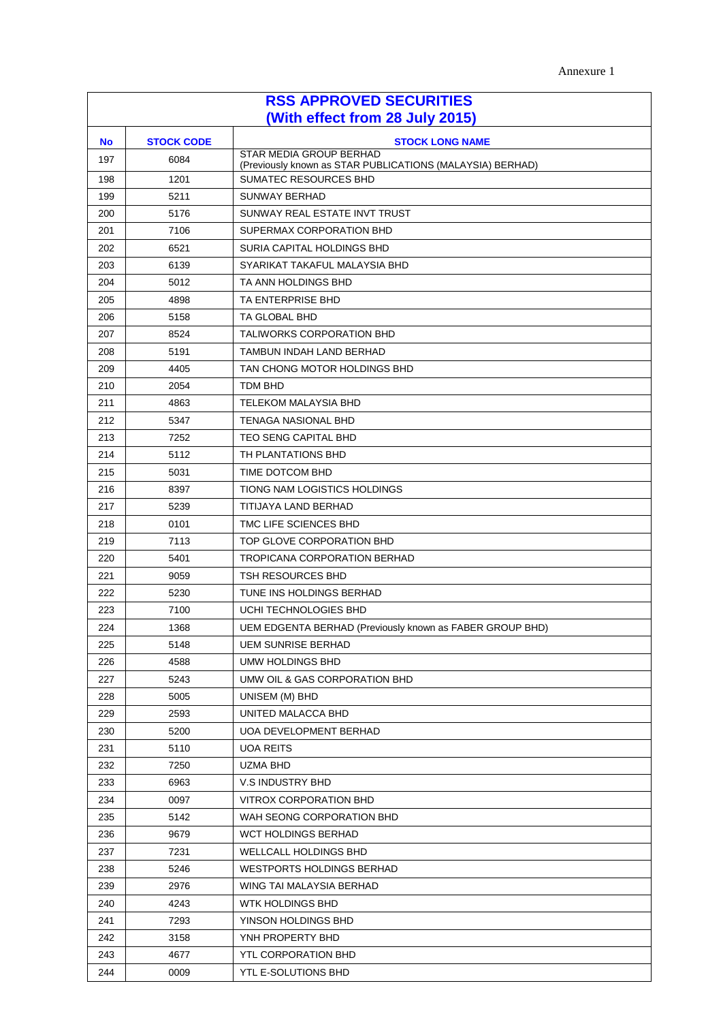| <b>RSS APPROVED SECURITIES</b>  |                   |                                                                                             |  |
|---------------------------------|-------------------|---------------------------------------------------------------------------------------------|--|
| (With effect from 28 July 2015) |                   |                                                                                             |  |
| <b>No</b>                       | <b>STOCK CODE</b> | <b>STOCK LONG NAME</b>                                                                      |  |
| 197                             | 6084              | <b>STAR MEDIA GROUP BERHAD</b><br>(Previously known as STAR PUBLICATIONS (MALAYSIA) BERHAD) |  |
| 198                             | 1201              | SUMATEC RESOURCES BHD                                                                       |  |
| 199                             | 5211              | <b>SUNWAY BERHAD</b>                                                                        |  |
| 200                             | 5176              | SUNWAY REAL ESTATE INVT TRUST                                                               |  |
| 201                             | 7106              | SUPERMAX CORPORATION BHD                                                                    |  |
| 202                             | 6521              | SURIA CAPITAL HOLDINGS BHD                                                                  |  |
| 203                             | 6139              | SYARIKAT TAKAFUL MALAYSIA BHD                                                               |  |
| 204                             | 5012              | TA ANN HOLDINGS BHD                                                                         |  |
| 205                             | 4898              | TA ENTERPRISE BHD                                                                           |  |
| 206                             | 5158              | TA GLOBAL BHD                                                                               |  |
| 207                             | 8524              | <b>TALIWORKS CORPORATION BHD</b>                                                            |  |
| 208                             | 5191              | TAMBUN INDAH LAND BERHAD                                                                    |  |
| 209                             | 4405              | TAN CHONG MOTOR HOLDINGS BHD                                                                |  |
| 210                             | 2054              | <b>TDM BHD</b>                                                                              |  |
| 211                             | 4863              | <b>TELEKOM MALAYSIA BHD</b>                                                                 |  |
| 212                             | 5347              | <b>TENAGA NASIONAL BHD</b>                                                                  |  |
| 213                             | 7252              | <b>TEO SENG CAPITAL BHD</b>                                                                 |  |
| 214                             | 5112              | TH PLANTATIONS BHD                                                                          |  |
| 215                             | 5031              | TIME DOTCOM BHD                                                                             |  |
| 216                             | 8397              | TIONG NAM LOGISTICS HOLDINGS                                                                |  |
| 217                             | 5239              | TITIJAYA LAND BERHAD                                                                        |  |
| 218                             | 0101              | TMC LIFE SCIENCES BHD                                                                       |  |
| 219                             | 7113              | TOP GLOVE CORPORATION BHD                                                                   |  |
| 220                             | 5401              | <b>TROPICANA CORPORATION BERHAD</b>                                                         |  |
| 221                             | 9059              | <b>TSH RESOURCES BHD</b>                                                                    |  |
| 222                             | 5230              | TUNE INS HOLDINGS BERHAD                                                                    |  |
| 223                             | 7100              | UCHI TECHNOLOGIES BHD                                                                       |  |
| 224                             | 1368              | UEM EDGENTA BERHAD (Previously known as FABER GROUP BHD)                                    |  |
| 225                             | 5148              | <b>UEM SUNRISE BERHAD</b>                                                                   |  |
| 226                             | 4588              | UMW HOLDINGS BHD                                                                            |  |
| 227                             | 5243              | UMW OIL & GAS CORPORATION BHD                                                               |  |
| 228                             | 5005              | UNISEM (M) BHD                                                                              |  |
| 229                             | 2593              | UNITED MALACCA BHD                                                                          |  |
| 230                             | 5200              | <b>UOA DEVELOPMENT BERHAD</b>                                                               |  |
| 231                             | 5110              | <b>UOA REITS</b>                                                                            |  |
| 232                             | 7250              | UZMA BHD                                                                                    |  |
| 233                             | 6963              | V.S INDUSTRY BHD                                                                            |  |
| 234                             | 0097              | VITROX CORPORATION BHD                                                                      |  |
| 235                             | 5142              | WAH SEONG CORPORATION BHD                                                                   |  |
| 236                             | 9679              | <b>WCT HOLDINGS BERHAD</b>                                                                  |  |
| 237                             | 7231              | WELLCALL HOLDINGS BHD                                                                       |  |
| 238                             | 5246              | <b>WESTPORTS HOLDINGS BERHAD</b>                                                            |  |
| 239                             | 2976              | WING TAI MALAYSIA BERHAD                                                                    |  |
| 240                             | 4243              | WTK HOLDINGS BHD                                                                            |  |
| 241                             | 7293              | YINSON HOLDINGS BHD                                                                         |  |
| 242                             | 3158              | YNH PROPERTY BHD                                                                            |  |
| 243                             | 4677              | YTL CORPORATION BHD                                                                         |  |
| 244                             | 0009              | YTL E-SOLUTIONS BHD                                                                         |  |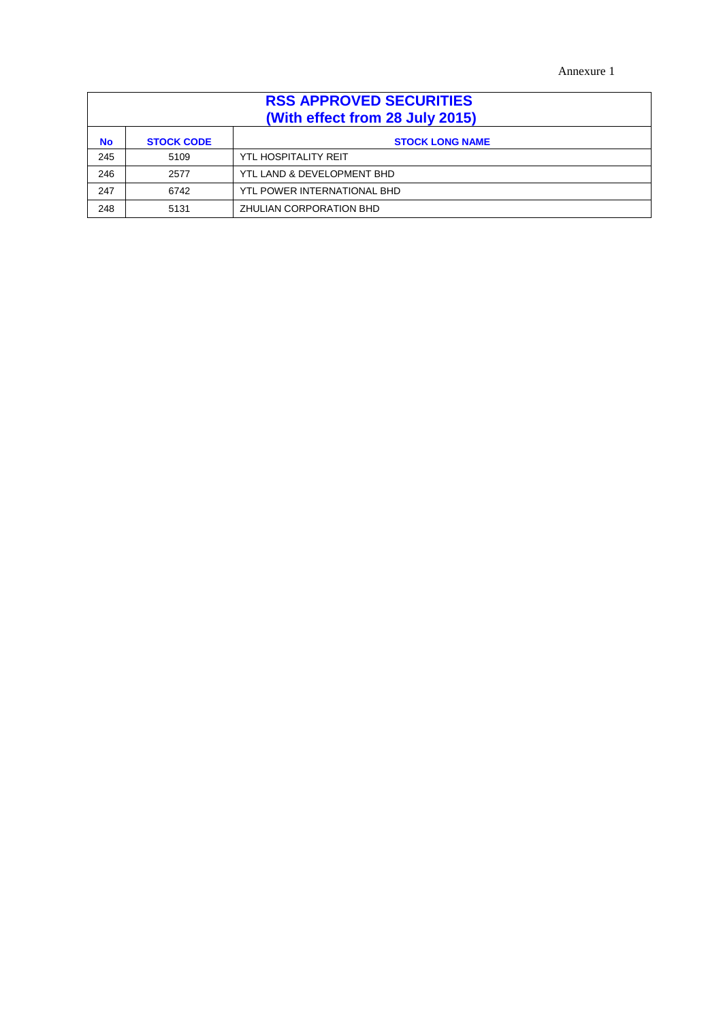Annexure 1

| <b>RSS APPROVED SECURITIES</b><br>(With effect from 28 July 2015) |                   |                             |
|-------------------------------------------------------------------|-------------------|-----------------------------|
| <b>No</b>                                                         | <b>STOCK CODE</b> | <b>STOCK LONG NAME</b>      |
| 245                                                               | 5109              | YTL HOSPITALITY REIT        |
| 246                                                               | 2577              | YTL LAND & DEVELOPMENT BHD  |
| 247                                                               | 6742              | YTL POWER INTERNATIONAL BHD |
| 248                                                               | 5131              | ZHULIAN CORPORATION BHD     |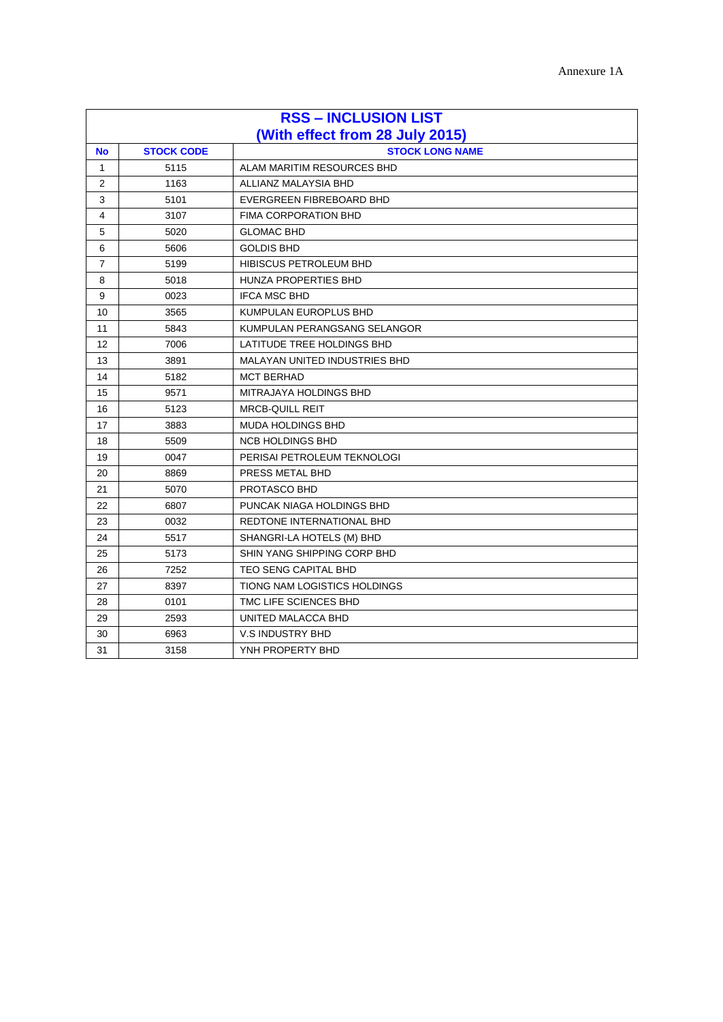| <b>RSS - INCLUSION LIST</b>     |                   |                                      |  |
|---------------------------------|-------------------|--------------------------------------|--|
| (With effect from 28 July 2015) |                   |                                      |  |
| <b>No</b>                       | <b>STOCK CODE</b> | <b>STOCK LONG NAME</b>               |  |
| $\mathbf{1}$                    | 5115              | ALAM MARITIM RESOURCES BHD           |  |
| $\overline{2}$                  | 1163              | ALLIANZ MALAYSIA BHD                 |  |
| 3                               | 5101              | EVERGREEN FIBREBOARD BHD             |  |
| 4                               | 3107              | <b>FIMA CORPORATION BHD</b>          |  |
| 5                               | 5020              | <b>GLOMAC BHD</b>                    |  |
| 6                               | 5606              | <b>GOLDIS BHD</b>                    |  |
| $\overline{7}$                  | 5199              | <b>HIBISCUS PETROLEUM BHD</b>        |  |
| 8                               | 5018              | <b>HUNZA PROPERTIES BHD</b>          |  |
| 9                               | 0023              | <b>IFCA MSC BHD</b>                  |  |
| 10                              | 3565              | KUMPULAN EUROPLUS BHD                |  |
| 11                              | 5843              | KUMPULAN PERANGSANG SELANGOR         |  |
| 12                              | 7006              | LATITUDE TREE HOLDINGS BHD           |  |
| 13                              | 3891              | <b>MALAYAN UNITED INDUSTRIES BHD</b> |  |
| 14                              | 5182              | <b>MCT BERHAD</b>                    |  |
| 15                              | 9571              | MITRAJAYA HOLDINGS BHD               |  |
| 16                              | 5123              | <b>MRCB-QUILL REIT</b>               |  |
| 17                              | 3883              | <b>MUDA HOLDINGS BHD</b>             |  |
| 18                              | 5509              | <b>NCB HOLDINGS BHD</b>              |  |
| 19                              | 0047              | PERISAI PETROLEUM TEKNOLOGI          |  |
| 20                              | 8869              | PRESS METAL BHD                      |  |
| 21                              | 5070              | <b>PROTASCO BHD</b>                  |  |
| 22                              | 6807              | PUNCAK NIAGA HOLDINGS BHD            |  |
| 23                              | 0032              | REDTONE INTERNATIONAL BHD            |  |
| 24                              | 5517              | SHANGRI-LA HOTELS (M) BHD            |  |
| 25                              | 5173              | SHIN YANG SHIPPING CORP BHD          |  |
| 26                              | 7252              | <b>TEO SENG CAPITAL BHD</b>          |  |
| 27                              | 8397              | TIONG NAM LOGISTICS HOLDINGS         |  |
| 28                              | 0101              | TMC LIFE SCIENCES BHD                |  |
| 29                              | 2593              | UNITED MALACCA BHD                   |  |
| 30                              | 6963              | <b>V.S INDUSTRY BHD</b>              |  |
| 31                              | 3158              | YNH PROPERTY BHD                     |  |